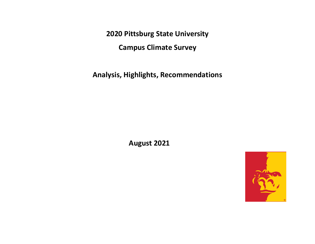**2020 Pittsburg State University** 

**Campus Climate Survey**

**Analysis, Highlights, Recommendations**

**August 2021**

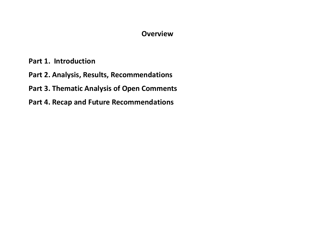#### **Overview**

**Part 1. Introduction**

**Part 2. Analysis, Results, Recommendations**

**Part 3. Thematic Analysis of Open Comments**

**Part 4. Recap and Future Recommendations**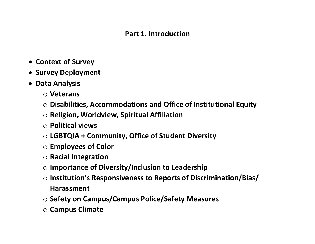#### **Part 1. Introduction**

- **Context of Survey**
- **Survey Deployment**
- **Data Analysis**
	- o **Veterans**
	- o **Disabilities, Accommodations and Office of Institutional Equity**
	- o **Religion, Worldview, Spiritual Affiliation**
	- o **Political views**
	- o **LGBTQIA + Community, Office of Student Diversity**
	- o **Employees of Color**
	- o **Racial Integration**
	- o **Importance of Diversity/Inclusion to Leadership**
	- o **Institution's Responsiveness to Reports of Discrimination/Bias/ Harassment**
	- o **Safety on Campus/Campus Police/Safety Measures**
	- o **Campus Climate**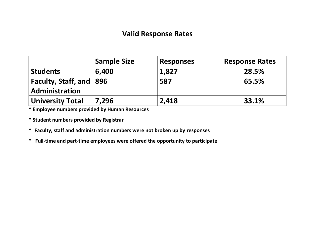#### **Valid Response Rates**

|                             | <b>Sample Size</b> | <b>Responses</b> | <b>Response Rates</b> |
|-----------------------------|--------------------|------------------|-----------------------|
| <b>Students</b>             | 6,400              | 1,827            | 28.5%                 |
| Faculty, Staff, and $ 896 $ |                    | 587              | 65.5%                 |
| Administration              |                    |                  |                       |
| University Total            | 7,296              | 2,418            | 33.1%                 |

**\* Employee numbers provided by Human Resources**

- **\* Student numbers provided by Registrar**
- **\* Faculty, staff and administration numbers were not broken up by responses**
- **\* Full-time and part-time employees were offered the opportunity to participate**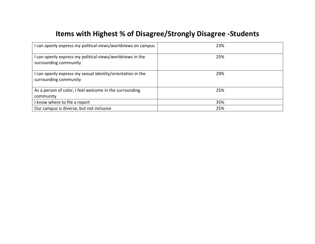# **Items with Highest % of Disagree/Strongly Disagree -Students**

| can openly express my political views/worldviews on campus                        | 23% |
|-----------------------------------------------------------------------------------|-----|
| can openly express my political views/worldviews in the<br>surrounding community  | 25% |
| can openly express my sexual identity/orientation in the<br>surrounding community | 29% |
| As a person of color, I feel welcome in the surrounding<br>community              | 25% |
| know where to file a report                                                       | 35% |
| Our campus is diverse, but not inclusive                                          | 25% |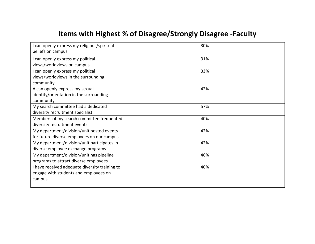# **Items with Highest % of Disagree/Strongly Disagree -Faculty**

| I can openly express my religious/spiritual    | 30% |
|------------------------------------------------|-----|
| beliefs on campus                              |     |
| I can openly express my political              | 31% |
| views/worldviews on campus                     |     |
| I can openly express my political              | 33% |
| views/worldviews in the surrounding            |     |
| community                                      |     |
| A can openly express my sexual                 | 42% |
| identity/orientation in the surrounding        |     |
| community                                      |     |
| My search committee had a dedicated            | 57% |
| diversity recruitment specialist               |     |
| Members of my search committee frequented      | 40% |
| diversity recruitment events                   |     |
| My department/division/unit hosted events      | 42% |
| for future diverse employees on our campus     |     |
| My department/division/unit participates in    | 42% |
| diverse employee exchange programs             |     |
| My department/division/unit has pipeline       | 46% |
| programs to attract diverse employees          |     |
| I have received adequate diversity training to | 40% |
| engage with students and employees on          |     |
| campus                                         |     |
|                                                |     |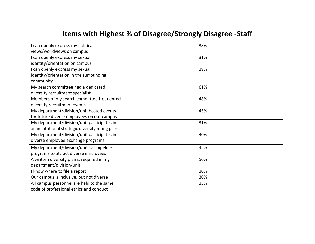# **Items with Highest % of Disagree/Strongly Disagree -Staff**

| I can openly express my political                | 38% |
|--------------------------------------------------|-----|
| views/worldviews on campus                       |     |
| I can openly express my sexual                   | 31% |
| identity/orientation on campus                   |     |
| I can openly express my sexual                   | 39% |
| identity/orientation in the surrounding          |     |
| community                                        |     |
| My search committee had a dedicated              | 61% |
| diversity recruitment specialist                 |     |
| Members of my search committee frequented        | 48% |
| diversity recruitment events                     |     |
| My department/division/unit hosted events        | 45% |
| for future diverse employees on our campus       |     |
| My department/division/unit participates in      | 31% |
| an institutional strategic diversity hiring plan |     |
| My department/division/unit participates in      | 40% |
| diverse employee exchange programs               |     |
| My department/division/unit has pipeline         | 45% |
| programs to attract diverse employees            |     |
| A written diversity plan is required in my       | 50% |
| department/division/unit                         |     |
| I know where to file a report                    | 30% |
| Our campus is inclusive, but not diverse         | 30% |
| All campus personnel are held to the same        | 35% |
| code of professional ethics and conduct          |     |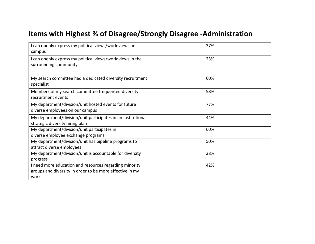# **Items with Highest % of Disagree/Strongly Disagree -Administration**

| I can openly express my political views/worldviews on<br>campus                                                            | 37% |
|----------------------------------------------------------------------------------------------------------------------------|-----|
| I can openly express my political views/worldviews in the<br>surrounding community                                         | 23% |
| My search committee had a dedicated diversity recruitment<br>specialist                                                    | 60% |
| Members of my search committee frequented diversity<br>recruitment events                                                  | 58% |
| My department/division/unit hosted events for future<br>diverse employees on our campus                                    | 77% |
| My department/division/unit participates in an institutional<br>strategic diversity hiring plan                            | 44% |
| My department/division/unit participates in<br>diverse employee exchange programs                                          | 60% |
| My department/division/unit has pipeline programs to<br>attract diverse employees                                          | 50% |
| My department/division/unit is accountable for diversity<br>progress                                                       | 38% |
| I need more education and resources regarding minority<br>groups and diversity in order to be more effective in my<br>work | 42% |